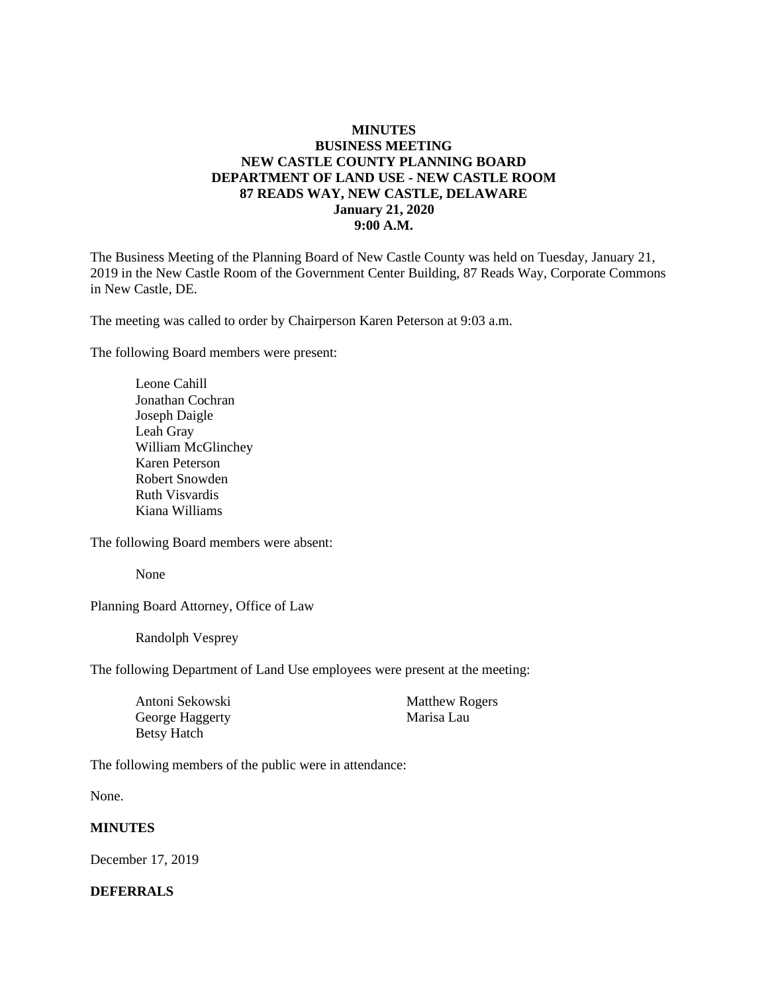## **MINUTES BUSINESS MEETING NEW CASTLE COUNTY PLANNING BOARD DEPARTMENT OF LAND USE - NEW CASTLE ROOM 87 READS WAY, NEW CASTLE, DELAWARE January 21, 2020 9:00 A.M.**

The Business Meeting of the Planning Board of New Castle County was held on Tuesday, January 21, 2019 in the New Castle Room of the Government Center Building, 87 Reads Way, Corporate Commons in New Castle, DE.

The meeting was called to order by Chairperson Karen Peterson at 9:03 a.m.

The following Board members were present:

Leone Cahill Jonathan Cochran Joseph Daigle Leah Gray William McGlinchey Karen Peterson Robert Snowden Ruth Visvardis Kiana Williams

The following Board members were absent:

None

Planning Board Attorney, Office of Law

Randolph Vesprey

The following Department of Land Use employees were present at the meeting:

| Antoni Sekowski    | <b>Matthew Rogers</b> |
|--------------------|-----------------------|
| George Haggerty    | Marisa Lau            |
| <b>Betsy Hatch</b> |                       |

The following members of the public were in attendance:

None.

#### **MINUTES**

December 17, 2019

#### **DEFERRALS**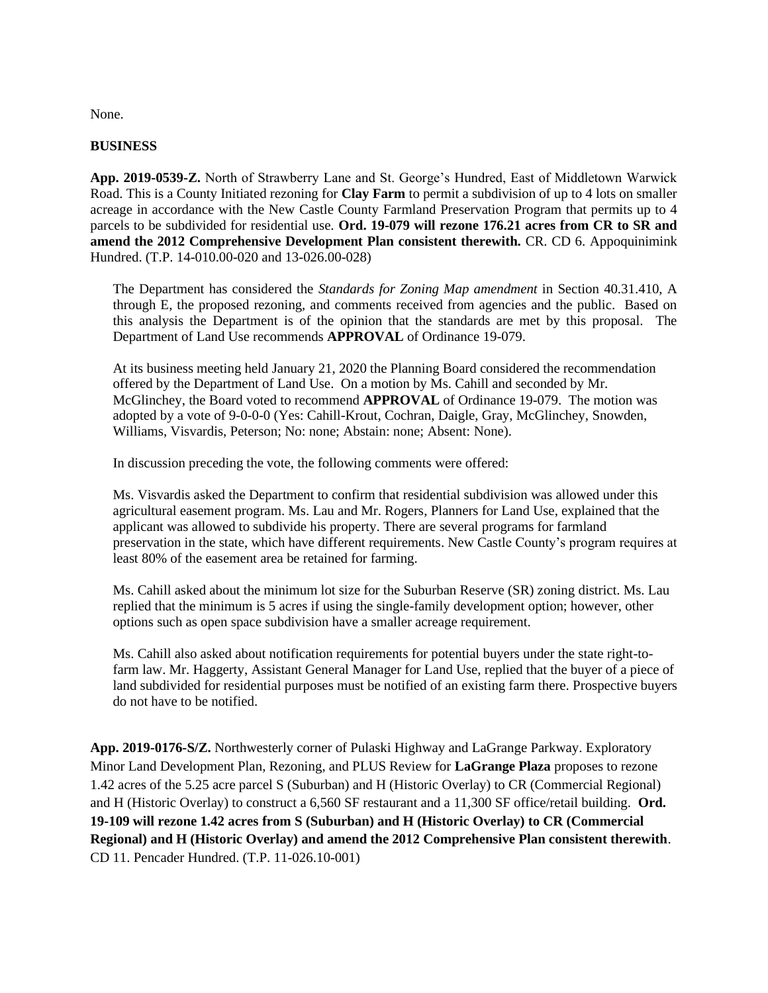None.

#### **BUSINESS**

**App. 2019-0539-Z.** North of Strawberry Lane and St. George's Hundred, East of Middletown Warwick Road. This is a County Initiated rezoning for **Clay Farm** to permit a subdivision of up to 4 lots on smaller acreage in accordance with the New Castle County Farmland Preservation Program that permits up to 4 parcels to be subdivided for residential use. **Ord. 19-079 will rezone 176.21 acres from CR to SR and amend the 2012 Comprehensive Development Plan consistent therewith.** CR. CD 6. Appoquinimink Hundred. (T.P. 14-010.00-020 and 13-026.00-028)

The Department has considered the *Standards for Zoning Map amendment* in Section 40.31.410, A through E, the proposed rezoning, and comments received from agencies and the public. Based on this analysis the Department is of the opinion that the standards are met by this proposal. The Department of Land Use recommends **APPROVAL** of Ordinance 19-079.

At its business meeting held January 21, 2020 the Planning Board considered the recommendation offered by the Department of Land Use. On a motion by Ms. Cahill and seconded by Mr. McGlinchey, the Board voted to recommend **APPROVAL** of Ordinance 19-079. The motion was adopted by a vote of 9-0-0-0 (Yes: Cahill-Krout, Cochran, Daigle, Gray, McGlinchey, Snowden, Williams, Visvardis, Peterson; No: none; Abstain: none; Absent: None).

In discussion preceding the vote, the following comments were offered:

Ms. Visvardis asked the Department to confirm that residential subdivision was allowed under this agricultural easement program. Ms. Lau and Mr. Rogers, Planners for Land Use, explained that the applicant was allowed to subdivide his property. There are several programs for farmland preservation in the state, which have different requirements. New Castle County's program requires at least 80% of the easement area be retained for farming.

Ms. Cahill asked about the minimum lot size for the Suburban Reserve (SR) zoning district. Ms. Lau replied that the minimum is 5 acres if using the single-family development option; however, other options such as open space subdivision have a smaller acreage requirement.

Ms. Cahill also asked about notification requirements for potential buyers under the state right-tofarm law. Mr. Haggerty, Assistant General Manager for Land Use, replied that the buyer of a piece of land subdivided for residential purposes must be notified of an existing farm there. Prospective buyers do not have to be notified.

**App. 2019-0176-S/Z.** Northwesterly corner of Pulaski Highway and LaGrange Parkway. Exploratory Minor Land Development Plan, Rezoning, and PLUS Review for **LaGrange Plaza** proposes to rezone 1.42 acres of the 5.25 acre parcel S (Suburban) and H (Historic Overlay) to CR (Commercial Regional) and H (Historic Overlay) to construct a 6,560 SF restaurant and a 11,300 SF office/retail building. **Ord. 19-109 will rezone 1.42 acres from S (Suburban) and H (Historic Overlay) to CR (Commercial Regional) and H (Historic Overlay) and amend the 2012 Comprehensive Plan consistent therewith**. CD 11. Pencader Hundred. (T.P. 11-026.10-001)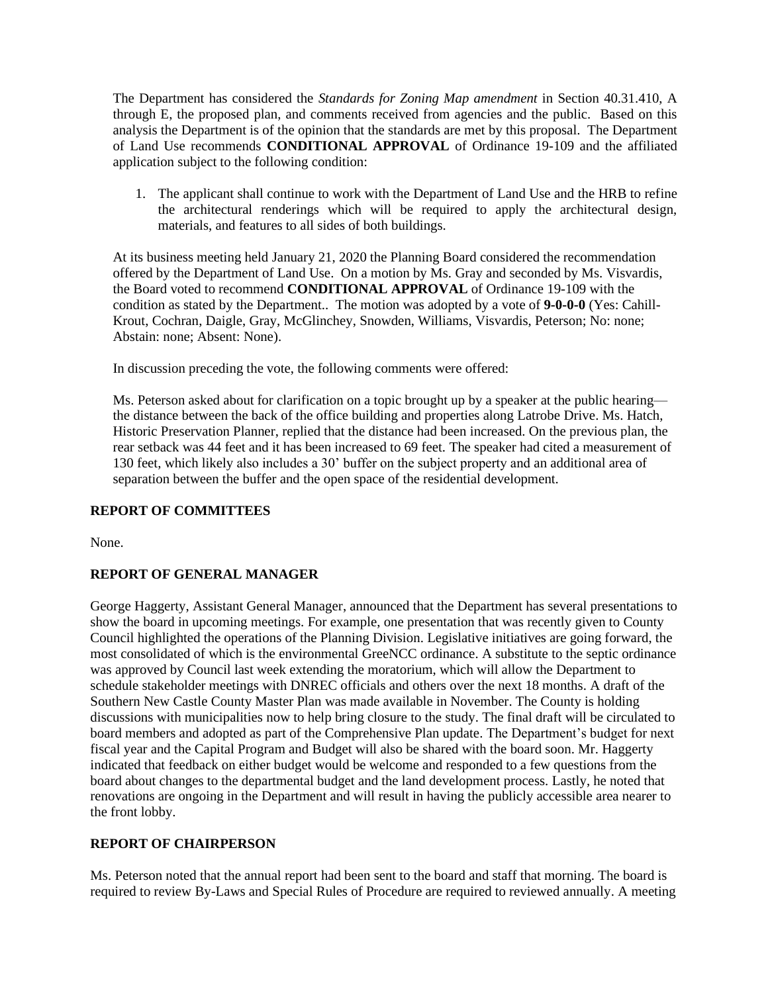The Department has considered the *Standards for Zoning Map amendment* in Section 40.31.410, A through E, the proposed plan, and comments received from agencies and the public. Based on this analysis the Department is of the opinion that the standards are met by this proposal. The Department of Land Use recommends **CONDITIONAL APPROVAL** of Ordinance 19-109 and the affiliated application subject to the following condition:

1. The applicant shall continue to work with the Department of Land Use and the HRB to refine the architectural renderings which will be required to apply the architectural design, materials, and features to all sides of both buildings.

At its business meeting held January 21, 2020 the Planning Board considered the recommendation offered by the Department of Land Use. On a motion by Ms. Gray and seconded by Ms. Visvardis, the Board voted to recommend **CONDITIONAL APPROVAL** of Ordinance 19-109 with the condition as stated by the Department.. The motion was adopted by a vote of **9-0-0-0** (Yes: Cahill-Krout, Cochran, Daigle, Gray, McGlinchey, Snowden, Williams, Visvardis, Peterson; No: none; Abstain: none; Absent: None).

In discussion preceding the vote, the following comments were offered:

Ms. Peterson asked about for clarification on a topic brought up by a speaker at the public hearing the distance between the back of the office building and properties along Latrobe Drive. Ms. Hatch, Historic Preservation Planner, replied that the distance had been increased. On the previous plan, the rear setback was 44 feet and it has been increased to 69 feet. The speaker had cited a measurement of 130 feet, which likely also includes a 30' buffer on the subject property and an additional area of separation between the buffer and the open space of the residential development.

# **REPORT OF COMMITTEES**

None.

# **REPORT OF GENERAL MANAGER**

George Haggerty, Assistant General Manager, announced that the Department has several presentations to show the board in upcoming meetings. For example, one presentation that was recently given to County Council highlighted the operations of the Planning Division. Legislative initiatives are going forward, the most consolidated of which is the environmental GreeNCC ordinance. A substitute to the septic ordinance was approved by Council last week extending the moratorium, which will allow the Department to schedule stakeholder meetings with DNREC officials and others over the next 18 months. A draft of the Southern New Castle County Master Plan was made available in November. The County is holding discussions with municipalities now to help bring closure to the study. The final draft will be circulated to board members and adopted as part of the Comprehensive Plan update. The Department's budget for next fiscal year and the Capital Program and Budget will also be shared with the board soon. Mr. Haggerty indicated that feedback on either budget would be welcome and responded to a few questions from the board about changes to the departmental budget and the land development process. Lastly, he noted that renovations are ongoing in the Department and will result in having the publicly accessible area nearer to the front lobby.

### **REPORT OF CHAIRPERSON**

Ms. Peterson noted that the annual report had been sent to the board and staff that morning. The board is required to review By-Laws and Special Rules of Procedure are required to reviewed annually. A meeting